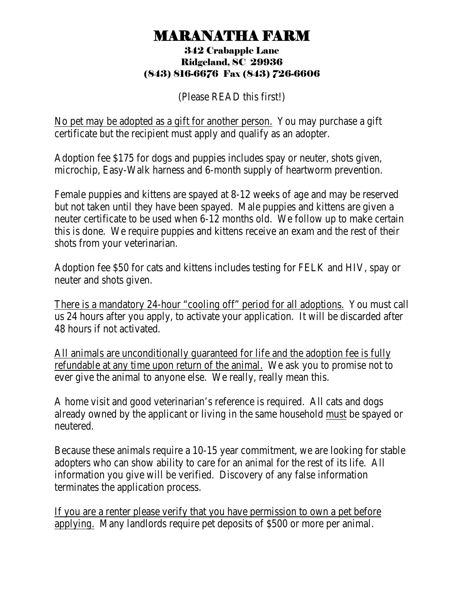## MARANATHA FARM 342 Crabapple Lane

## Ridgeland, SC 29936 (843) 816-6676 Fax (843) 726-6606

(Please READ this first!)

No pet may be adopted as a gift for another person. You may purchase a gift certificate but the recipient must apply and qualify as an adopter.

Adoption fee \$175 for dogs and puppies includes spay or neuter, shots given, microchip, Easy-Walk harness and 6-month supply of heartworm prevention.

Female puppies and kittens are spayed at 8-12 weeks of age and may be reserved but not taken until they have been spayed. Male puppies and kittens are given a neuter certificate to be used when 6-12 months old. We follow up to make certain this is done. We require puppies and kittens receive an exam and the rest of their shots from your veterinarian.

Adoption fee \$50 for cats and kittens includes testing for FELK and HIV, spay or neuter and shots given.

There is a mandatory 24-hour "cooling off" period for all adoptions. You must call us 24 hours after you apply, to activate your application. It will be discarded after 48 hours if not activated.

All animals are unconditionally guaranteed for life and the adoption fee is fully refundable at any time upon return of the animal. We ask you to promise not to ever give the animal to anyone else. We really, really mean this.

A home visit and good veterinarian's reference is required. All cats and dogs already owned by the applicant or living in the same household must be spayed or neutered.

Because these animals require a 10-15 year commitment, we are looking for stable adopters who can show ability to care for an animal for the rest of its life. All information you give will be verified. Discovery of any false information terminates the application process.

If you are a renter please verify that you have permission to own a pet before applying. Many landlords require pet deposits of \$500 or more per animal.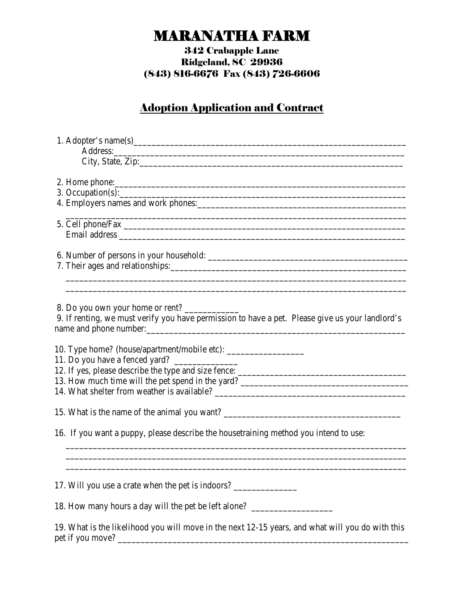# MARANATHA FARM 342 Crabapple Lane

### Ridgeland, SC 29936 (843) 816-6676 Fax (843) 726-6606

### Adoption Application and Contract

| City, State, Zip:                                                                                |
|--------------------------------------------------------------------------------------------------|
|                                                                                                  |
| 3. Occupation(s):                                                                                |
|                                                                                                  |
|                                                                                                  |
|                                                                                                  |
|                                                                                                  |
| 7. Their ages and relationships:                                                                 |
|                                                                                                  |
| 8. Do you own your home or rent?                                                                 |
| 9. If renting, we must verify you have permission to have a pet. Please give us your landlord's  |
|                                                                                                  |
| 10. Type home? (house/apartment/mobile etc): ___________________________________                 |
|                                                                                                  |
|                                                                                                  |
|                                                                                                  |
|                                                                                                  |
|                                                                                                  |
| 16. If you want a puppy, please describe the housetraining method you intend to use:             |
|                                                                                                  |
| 17. Will you use a crate when the pet is indoors?                                                |
| 18. How many hours a day will the pet be left alone? ____________________________                |
| 19. What is the likelihood you will move in the next 12-15 years, and what will you do with this |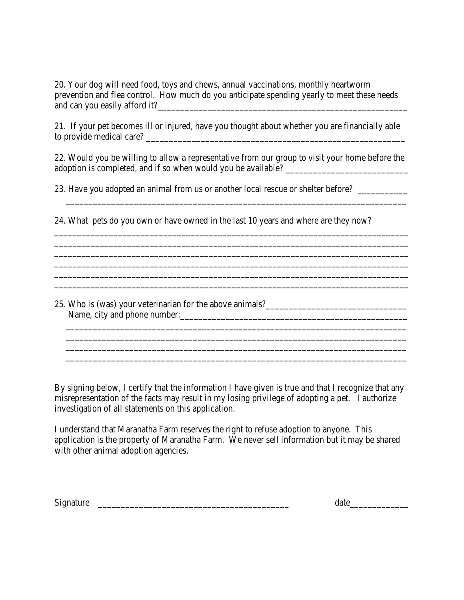20. Your dog will need food, toys and chews, annual vaccinations, monthly heartworm prevention and flea control. How much do you anticipate spending yearly to meet these needs and can you easily afford it?\_\_\_\_\_\_\_\_\_\_\_\_\_\_\_\_\_\_\_\_\_\_\_\_\_\_\_\_\_\_\_\_\_\_\_\_\_\_\_\_\_\_\_\_\_\_\_\_\_\_\_\_\_\_\_

21. If your pet becomes ill or injured, have you thought about whether you are financially able to provide medical care?

22. Would you be willing to allow a representative from our group to visit your home before the adoption is completed, and if so when would you be available? \_\_\_\_\_\_\_\_\_\_\_\_\_\_\_\_\_\_\_\_\_\_\_\_\_\_\_

23. Have you adopted an animal from us or another local rescue or shelter before? \_\_\_\_\_\_\_\_\_\_\_\_\_\_\_\_\_\_\_\_\_\_\_\_\_\_\_\_\_\_\_\_\_\_\_\_\_\_\_\_\_\_\_\_\_\_\_\_\_\_\_\_\_\_\_\_\_\_\_\_\_\_\_\_\_\_\_\_\_\_\_\_\_\_\_

\_\_\_\_\_\_\_\_\_\_\_\_\_\_\_\_\_\_\_\_\_\_\_\_\_\_\_\_\_\_\_\_\_\_\_\_\_\_\_\_\_\_\_\_\_\_\_\_\_\_\_\_\_\_\_\_\_\_\_\_\_\_\_\_\_\_\_\_\_\_\_\_\_\_\_\_\_\_ \_\_\_\_\_\_\_\_\_\_\_\_\_\_\_\_\_\_\_\_\_\_\_\_\_\_\_\_\_\_\_\_\_\_\_\_\_\_\_\_\_\_\_\_\_\_\_\_\_\_\_\_\_\_\_\_\_\_\_\_\_\_\_\_\_\_\_\_\_\_\_\_\_\_\_\_\_\_ \_\_\_\_\_\_\_\_\_\_\_\_\_\_\_\_\_\_\_\_\_\_\_\_\_\_\_\_\_\_\_\_\_\_\_\_\_\_\_\_\_\_\_\_\_\_\_\_\_\_\_\_\_\_\_\_\_\_\_\_\_\_\_\_\_\_\_\_\_\_\_\_\_\_\_\_\_\_ \_\_\_\_\_\_\_\_\_\_\_\_\_\_\_\_\_\_\_\_\_\_\_\_\_\_\_\_\_\_\_\_\_\_\_\_\_\_\_\_\_\_\_\_\_\_\_\_\_\_\_\_\_\_\_\_\_\_\_\_\_\_\_\_\_\_\_\_\_\_\_\_\_\_\_\_\_\_ \_\_\_\_\_\_\_\_\_\_\_\_\_\_\_\_\_\_\_\_\_\_\_\_\_\_\_\_\_\_\_\_\_\_\_\_\_\_\_\_\_\_\_\_\_\_\_\_\_\_\_\_\_\_\_\_\_\_\_\_\_\_\_\_\_\_\_\_\_\_\_\_\_\_\_\_\_\_ \_\_\_\_\_\_\_\_\_\_\_\_\_\_\_\_\_\_\_\_\_\_\_\_\_\_\_\_\_\_\_\_\_\_\_\_\_\_\_\_\_\_\_\_\_\_\_\_\_\_\_\_\_\_\_\_\_\_\_\_\_\_\_\_\_\_\_\_\_\_\_\_\_\_\_\_\_\_

24. What pets do you own or have owned in the last 10 years and where are they now?

25. Who is (was) your veterinarian for the above animals? Name, city and phone number:\_\_\_\_\_\_\_\_\_\_\_\_\_\_\_\_\_\_\_\_\_\_\_\_\_\_\_\_\_\_\_\_\_\_\_\_\_\_\_\_\_\_\_\_\_\_\_\_\_\_

By signing below, I certify that the information I have given is true and that I recognize that any misrepresentation of the facts may result in my losing privilege of adopting a pet. I authorize investigation of all statements on this application.

\_\_\_\_\_\_\_\_\_\_\_\_\_\_\_\_\_\_\_\_\_\_\_\_\_\_\_\_\_\_\_\_\_\_\_\_\_\_\_\_\_\_\_\_\_\_\_\_\_\_\_\_\_\_\_\_\_\_\_\_\_\_\_\_\_\_\_\_\_\_\_\_\_\_\_

 \_\_\_\_\_\_\_\_\_\_\_\_\_\_\_\_\_\_\_\_\_\_\_\_\_\_\_\_\_\_\_\_\_\_\_\_\_\_\_\_\_\_\_\_\_\_\_\_\_\_\_\_\_\_\_\_\_\_\_\_\_\_\_\_\_\_\_\_\_\_\_\_\_\_\_ \_\_\_\_\_\_\_\_\_\_\_\_\_\_\_\_\_\_\_\_\_\_\_\_\_\_\_\_\_\_\_\_\_\_\_\_\_\_\_\_\_\_\_\_\_\_\_\_\_\_\_\_\_\_\_\_\_\_\_\_\_\_\_\_\_\_\_\_\_\_\_\_\_\_\_

\_\_\_\_\_\_\_\_\_\_\_\_\_\_\_\_\_\_\_\_\_\_\_\_\_\_\_\_\_\_\_\_\_\_\_\_\_\_\_\_\_\_\_\_\_\_\_\_\_\_\_\_\_\_\_\_\_\_\_\_\_\_\_\_\_\_\_\_\_\_\_\_\_\_\_

I understand that Maranatha Farm reserves the right to refuse adoption to anyone. This application is the property of Maranatha Farm. We never sell information but it may be shared with other animal adoption agencies.

Signature  $\Box$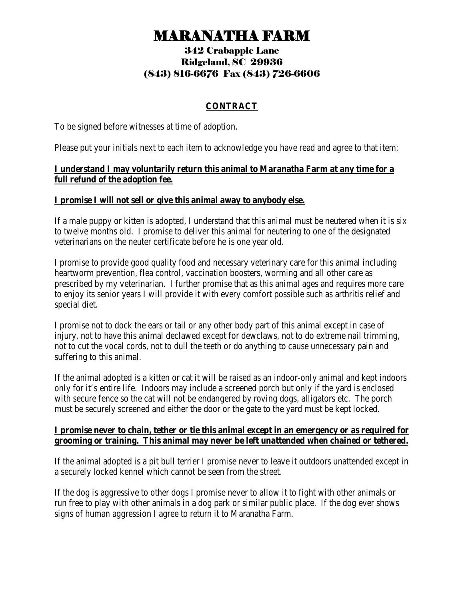# MARANATHA FARM 342 Crabapple Lane

## Ridgeland, SC 29936 (843) 816-6676 Fax (843) 726-6606

#### **CONTRACT**

To be signed before witnesses at time of adoption.

Please put your initials next to each item to acknowledge you have read and agree to that item:

#### **I understand I may voluntarily return this animal to Maranatha Farm at any time for a full refund of the adoption fee.**

#### **I promise I will not sell or give this animal away to anybody else.**

If a male puppy or kitten is adopted, I understand that this animal must be neutered when it is six to twelve months old. I promise to deliver this animal for neutering to one of the designated veterinarians on the neuter certificate before he is one year old.

I promise to provide good quality food and necessary veterinary care for this animal including heartworm prevention, flea control, vaccination boosters, worming and all other care as prescribed by my veterinarian. I further promise that as this animal ages and requires more care to enjoy its senior years I will provide it with every comfort possible such as arthritis relief and special diet.

I promise not to dock the ears or tail or any other body part of this animal except in case of injury, not to have this animal declawed except for dewclaws, not to do extreme nail trimming, not to cut the vocal cords, not to dull the teeth or do anything to cause unnecessary pain and suffering to this animal.

If the animal adopted is a kitten or cat it will be raised as an indoor-only animal and kept indoors only for it's entire life. Indoors may include a screened porch but only if the yard is enclosed with secure fence so the cat will not be endangered by roving dogs, alligators etc. The porch must be securely screened and either the door or the gate to the yard must be kept locked.

#### **I promise never to chain, tether or tie this animal except in an emergency or as required for grooming or training. This animal may never be left unattended when chained or tethered.**

If the animal adopted is a pit bull terrier I promise never to leave it outdoors unattended except in a securely locked kennel which cannot be seen from the street.

If the dog is aggressive to other dogs I promise never to allow it to fight with other animals or run free to play with other animals in a dog park or similar public place. If the dog ever shows signs of human aggression I agree to return it to Maranatha Farm.